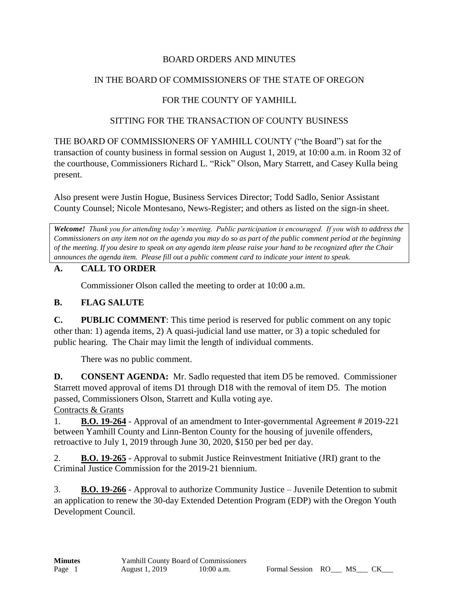## BOARD ORDERS AND MINUTES

## IN THE BOARD OF COMMISSIONERS OF THE STATE OF OREGON

# FOR THE COUNTY OF YAMHILL

### SITTING FOR THE TRANSACTION OF COUNTY BUSINESS

THE BOARD OF COMMISSIONERS OF YAMHILL COUNTY ("the Board") sat for the transaction of county business in formal session on August 1, 2019, at 10:00 a.m. in Room 32 of the courthouse, Commissioners Richard L. "Rick" Olson, Mary Starrett, and Casey Kulla being present.

Also present were Justin Hogue, Business Services Director; Todd Sadlo, Senior Assistant County Counsel; Nicole Montesano, News-Register; and others as listed on the sign-in sheet.

*Welcome! Thank you for attending today's meeting. Public participation is encouraged. If you wish to address the Commissioners on any item not on the agenda you may do so as part of the public comment period at the beginning of the meeting. If you desire to speak on any agenda item please raise your hand to be recognized after the Chair announces the agenda item. Please fill out a public comment card to indicate your intent to speak.*

## **A. CALL TO ORDER**

Commissioner Olson called the meeting to order at 10:00 a.m.

## **B. FLAG SALUTE**

**C. PUBLIC COMMENT**: This time period is reserved for public comment on any topic other than: 1) agenda items, 2) A quasi-judicial land use matter, or 3) a topic scheduled for public hearing. The Chair may limit the length of individual comments.

There was no public comment.

**D. CONSENT AGENDA:** Mr. Sadlo requested that item D5 be removed. Commissioner Starrett moved approval of items D1 through D18 with the removal of item D5. The motion passed, Commissioners Olson, Starrett and Kulla voting aye.

Contracts & Grants

1. **B.O. 19-264** - Approval of an amendment to Inter-governmental Agreement # 2019-221 between Yamhill County and Linn-Benton County for the housing of juvenile offenders, retroactive to July 1, 2019 through June 30, 2020, \$150 per bed per day.

2. **B.O. 19-265** - Approval to submit Justice Reinvestment Initiative (JRI) grant to the Criminal Justice Commission for the 2019-21 biennium.

3. **B.O. 19-266** - Approval to authorize Community Justice – Juvenile Detention to submit an application to renew the 30-day Extended Detention Program (EDP) with the Oregon Youth Development Council.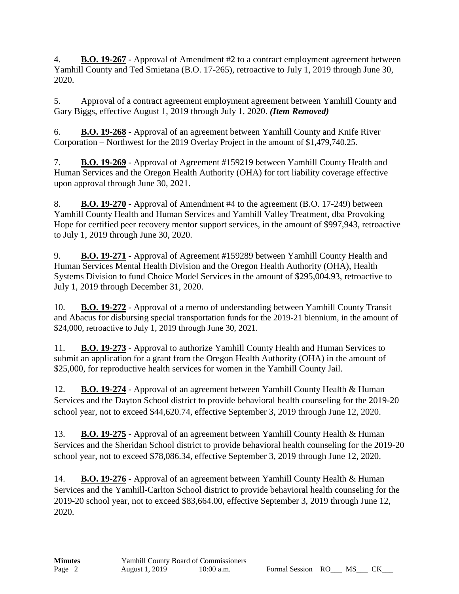4. **B.O. 19-267** - Approval of Amendment #2 to a contract employment agreement between Yamhill County and Ted Smietana (B.O. 17-265), retroactive to July 1, 2019 through June 30, 2020.

5. Approval of a contract agreement employment agreement between Yamhill County and Gary Biggs, effective August 1, 2019 through July 1, 2020. *(Item Removed)*

6. **B.O. 19-268** - Approval of an agreement between Yamhill County and Knife River Corporation – Northwest for the 2019 Overlay Project in the amount of \$1,479,740.25.

7. **B.O. 19-269** - Approval of Agreement #159219 between Yamhill County Health and Human Services and the Oregon Health Authority (OHA) for tort liability coverage effective upon approval through June 30, 2021.

8. **B.O. 19-270** - Approval of Amendment #4 to the agreement (B.O. 17-249) between Yamhill County Health and Human Services and Yamhill Valley Treatment, dba Provoking Hope for certified peer recovery mentor support services, in the amount of \$997,943, retroactive to July 1, 2019 through June 30, 2020.

9. **B.O. 19-271** - Approval of Agreement #159289 between Yamhill County Health and Human Services Mental Health Division and the Oregon Health Authority (OHA), Health Systems Division to fund Choice Model Services in the amount of \$295,004.93, retroactive to July 1, 2019 through December 31, 2020.

10. **B.O. 19-272** - Approval of a memo of understanding between Yamhill County Transit and Abacus for disbursing special transportation funds for the 2019-21 biennium, in the amount of \$24,000, retroactive to July 1, 2019 through June 30, 2021.

11. **B.O. 19-273** - Approval to authorize Yamhill County Health and Human Services to submit an application for a grant from the Oregon Health Authority (OHA) in the amount of \$25,000, for reproductive health services for women in the Yamhill County Jail.

12. **B.O. 19-274** - Approval of an agreement between Yamhill County Health & Human Services and the Dayton School district to provide behavioral health counseling for the 2019-20 school year, not to exceed \$44,620.74, effective September 3, 2019 through June 12, 2020.

13. **B.O. 19-275** - Approval of an agreement between Yamhill County Health & Human Services and the Sheridan School district to provide behavioral health counseling for the 2019-20 school year, not to exceed \$78,086.34, effective September 3, 2019 through June 12, 2020.

14. **B.O. 19-276** - Approval of an agreement between Yamhill County Health & Human Services and the Yamhill-Carlton School district to provide behavioral health counseling for the 2019-20 school year, not to exceed \$83,664.00, effective September 3, 2019 through June 12, 2020.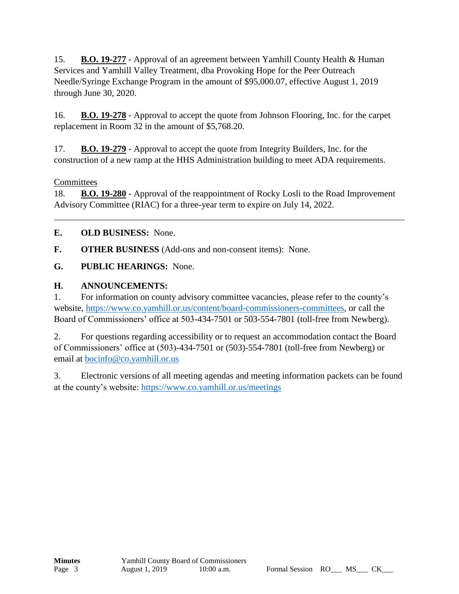15. **B.O. 19-277** - Approval of an agreement between Yamhill County Health & Human Services and Yamhill Valley Treatment, dba Provoking Hope for the Peer Outreach Needle/Syringe Exchange Program in the amount of \$95,000.07, effective August 1, 2019 through June 30, 2020.

16. **B.O. 19-278** - Approval to accept the quote from Johnson Flooring, Inc. for the carpet replacement in Room 32 in the amount of \$5,768.20.

17. **B.O. 19-279** - Approval to accept the quote from Integrity Builders, Inc. for the construction of a new ramp at the HHS Administration building to meet ADA requirements.

### **Committees**

18. **B.O. 19-280** - Approval of the reappointment of Rocky Losli to the Road Improvement Advisory Committee (RIAC) for a three-year term to expire on July 14, 2022.

**E. OLD BUSINESS:** None.

**F. OTHER BUSINESS** (Add-ons and non-consent items): None.

**G. PUBLIC HEARINGS:** None.

#### **H. ANNOUNCEMENTS:**

1. For information on county advisory committee vacancies, please refer to the county's website, [https://www.co.yamhill.or.us/content/board-commissioners-committees,](https://www.co.yamhill.or.us/content/board-commissioners-committees) or call the Board of Commissioners' office at 503-434-7501 or 503-554-7801 (toll-free from Newberg).

2. For questions regarding accessibility or to request an accommodation contact the Board of Commissioners' office at (503)-434-7501 or (503)-554-7801 (toll-free from Newberg) or email at [bocinfo@co.yamhill.or.us](mailto:bocinfo@co.yamhill.or.us)

3. Electronic versions of all meeting agendas and meeting information packets can be found at the county's website:<https://www.co.yamhill.or.us/meetings>